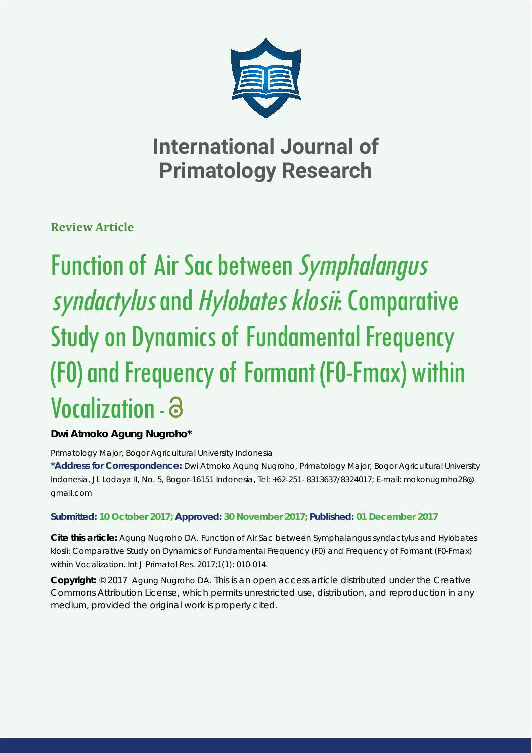

# **International Journal of Primatology Research**

**Review Article**

# Function of Air Sac between Symphalangus syndactylus and Hylobates klosii: Comparative Study on Dynamics of Fundamental Frequency (F0) and Frequency of Formant (F0-Fmax) within Vocalization -

# **Dwi Atmoko Agung Nugroho\***

*Primatology Major, Bogor Agricultural University Indonesia*

**\*Address for Correspondence:** Dwi Atmoko Agung Nugroho, Primatology Major, Bogor Agricultural University Indonesia, Jl. Lodaya II, No. 5, Bogor-16151 Indonesia, Tel: +62-251- 8313637/8324017; E-mail: mokonugroho28@ gmail.com

# **Submitted: 10 October 2017; Approved: 30 November 2017; Published: 01 December 2017**

**Cite this article:** Agung Nugroho DA. Function of Air Sac between *Symphalangus syndactylus* and *Hylobates klosii*: Comparative Study on Dynamics of Fundamental Frequency (F0) and Frequency of Formant (F0-Fmax) within Vocalization. Int J Primatol Res. 2017;1(1): 010-014.

**Copyright:** © 2017 Agung Nugroho DA. This is an open access article distributed under the Creative Commons Attribution License, which permits unrestricted use, distribution, and reproduction in any medium, provided the original work is properly cited.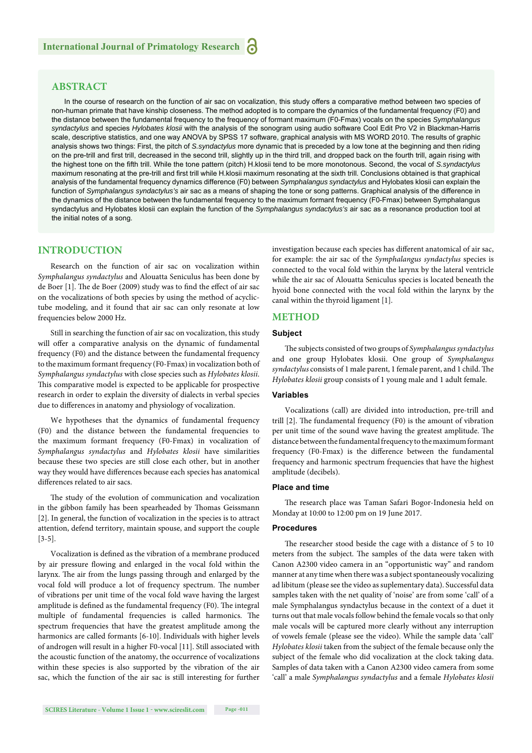# **ABSTRACT**

In the course of research on the function of air sac on vocalization, this study offers a comparative method between two species of non-human primate that have kinship closeness. The method adopted is to compare the dynamics of the fundamental frequency (F0) and the distance between the fundamental frequency to the frequency of formant maximum (F0-Fmax) vocals on the species *Symphalangus syndactylus* and species *Hylobates klosii* with the analysis of the sonogram using audio software Cool Edit Pro V2 in Blackman-Harris scale, descriptive statistics, and one way ANOVA by SPSS 17 software, graphical analysis with MS WORD 2010. The results of graphic analysis shows two things: First, the pitch of *S.syndactylus* more dynamic that is preceded by a low tone at the beginning and then riding on the pre-trill and first trill, decreased in the second trill, slightly up in the third trill, and dropped back on the fourth trill, again rising with the highest tone on the fifth trill. While the tone pattern (pitch) H.klosii tend to be more monotonous. Second, the vocal of *S.syndactylus* maximum resonating at the pre-trill and first trill while H.klosii maximum resonating at the sixth trill. Conclusions obtained is that graphical analysis of the fundamental frequency dynamics difference (F0) between *Symphalangus syndactylus* and Hylobates klosii can explain the function of *Symphalangus syndactylus's* air sac as a means of shaping the tone or song patterns. Graphical analysis of the difference in the dynamics of the distance between the fundamental frequency to the maximum formant frequency (F0-Fmax) between Symphalangus syndactylus and Hylobates klosii can explain the function of the *Symphalangus syndactylus's* air sac as a resonance production tool at the initial notes of a song.

# **INTRODUCTION**

Research on the function of air sac on vocalization within *Symphalangus syndactylus* and Alouatta Seniculus has been done by de Boer [1]. The de Boer (2009) study was to find the effect of air sac on the vocalizations of both species by using the method of acyclictube modeling, and it found that air sac can only resonate at low frequencies below 2000 Hz.

Still in searching the function of air sac on vocalization, this study will offer a comparative analysis on the dynamic of fundamental frequency (F0) and the distance between the fundamental frequency to the maximum formant frequency (F0-Fmax) in vocalization both of *Symphalangus syndactylus* with close species such as *Hylobates klosii*. This comparative model is expected to be applicable for prospective research in order to explain the diversity of dialects in verbal species due to differences in anatomy and physiology of vocalization.

We hypotheses that the dynamics of fundamental frequency (F0) and the distance between the fundamental frequencies to the maximum formant frequency (F0-Fmax) in vocalization of *Symphalangus syndactylus* and *Hylobates klosii* have similarities because these two species are still close each other, but in another way they would have differences because each species has anatomical differences related to air sacs.

The study of the evolution of communication and vocalization in the gibbon family has been spearheaded by Thomas Geissmann [2]. In general, the function of vocalization in the species is to attract attention, defend territory, maintain spouse, and support the couple [3-5].

Vocalization is defined as the vibration of a membrane produced by air pressure flowing and enlarged in the vocal fold within the larynx. The air from the lungs passing through and enlarged by the vocal fold will produce a lot of frequency spectrum. The number of vibrations per unit time of the vocal fold wave having the largest amplitude is defined as the fundamental frequency (F0). The integral multiple of fundamental frequencies is called harmonics. The spectrum frequencies that have the greatest amplitude among the harmonics are called formants [6-10]. Individuals with higher levels of androgen will result in a higher F0-vocal [11]. Still associated with the acoustic function of the anatomy, the occurrence of vocalizations within these species is also supported by the vibration of the air sac, which the function of the air sac is still interesting for further investigation because each species has different anatomical of air sac, for example: the air sac of the *Symphalangus syndactylus* species is connected to the vocal fold within the larynx by the lateral ventricle while the air sac of Alouatta Seniculus species is located beneath the hyoid bone connected with the vocal fold within the larynx by the canal within the thyroid ligament [1].

## **METHOD**

#### **Subject**

The subjects consisted of two groups of *Symphalangus syndactylus* and one group Hylobates klosii. One group of *Symphalangus*  syndactylus consists of 1 male parent, 1 female parent, and 1 child. The *Hylobates klosii* group consists of 1 young male and 1 adult female.

#### **Variables**

Vocalizations (call) are divided into introduction, pre-trill and trill  $[2]$ . The fundamental frequency  $(F0)$  is the amount of vibration per unit time of the sound wave having the greatest amplitude. The distance between the fundamental frequency to the maximum formant frequency (F0-Fmax) is the difference between the fundamental frequency and harmonic spectrum frequencies that have the highest amplitude (decibels).

#### **Place and time**

The research place was Taman Safari Bogor-Indonesia held on Monday at 10:00 to 12:00 pm on 19 June 2017.

#### **Procedures**

The researcher stood beside the cage with a distance of 5 to 10 meters from the subject. The samples of the data were taken with Canon A2300 video camera in an "opportunistic way" and random manner at any time when there was a subject spontaneously vocalizing ad libitum (please see the video as suplementary data). Successful data samples taken with the net quality of 'noise' are from some 'call' of a male Symphalangus syndactylus because in the context of a duet it turns out that male vocals follow behind the female vocals so that only male vocals will be captured more clearly without any interruption of vowels female (please see the video). While the sample data 'call' *Hylobates klosii* taken from the subject of the female because only the subject of the female who did vocalization at the clock taking data. Samples of data taken with a Canon A2300 video camera from some 'call' a male *Symphalangus syndactylus* and a female *Hylobates klosii*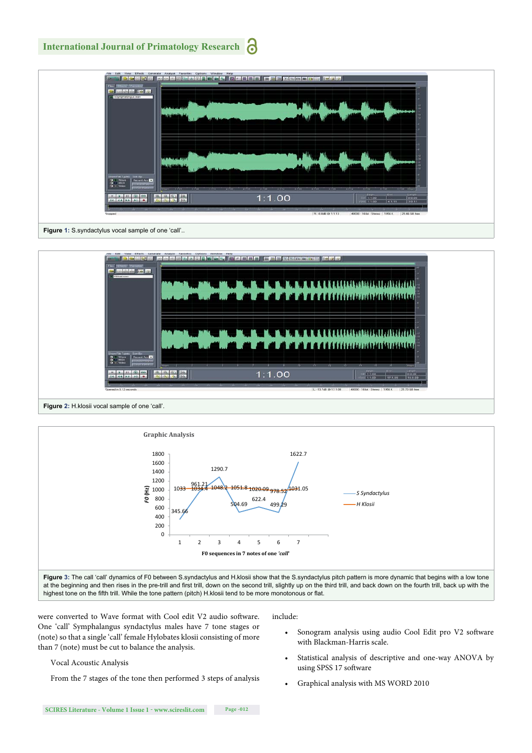# **International Journal of Primatology Research**



Figure 1: S.syndactylus vocal sample of one 'call'..





were converted to Wave format with Cool edit V2 audio software. One 'call' Symphalangus syndactylus males have 7 tone stages or (note) so that a single 'call' female Hylobates klosii consisting of more than 7 (note) must be cut to balance the analysis.

### Vocal Acoustic Analysis

From the 7 stages of the tone then performed 3 steps of analysis

include:

- Sonogram analysis using audio Cool Edit pro V2 software with Blackman-Harris scale.
- Statistical analysis of descriptive and one-way ANOVA by using SPSS 17 software
- Graphical analysis with MS WORD 2010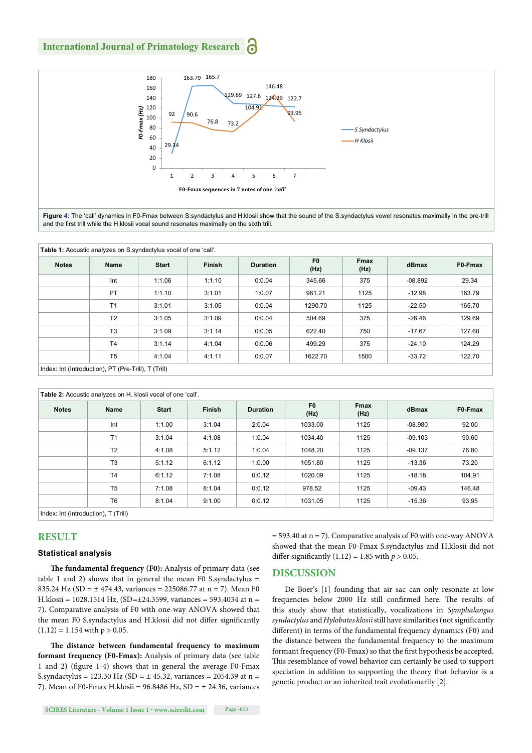# **International Journal of Primatology Research**



**Figure 4:** The 'call' dynamics in F0-Fmax between S.syndactylus and H.klosii show that the sound of the S.syndactylus vowel resonates maximally in the pre-trill and the first trill while the H.klosii vocal sound resonates maximally on the sixth trill.

| <b>Notes</b> | Name           | <b>Start</b> | <b>Finish</b> | <b>Duration</b> | F <sub>0</sub><br>(Hz) | <b>Fmax</b><br>(Hz) | dBmax     | F0-Fmax |
|--------------|----------------|--------------|---------------|-----------------|------------------------|---------------------|-----------|---------|
|              | Int            | 1:1.06       | 1:1.10        | 0:0.04          | 345.66                 | 375                 | $-08.892$ | 29.34   |
|              | PT             | 1:1.10       | 3:1.01        | 1:0.07          | 961.21                 | 1125                | $-12.98$  | 163.79  |
|              | T <sub>1</sub> | 3:1.01       | 3:1.05        | 0:0.04          | 1290.70                | 1125                | $-22.50$  | 165.70  |
|              | T <sub>2</sub> | 3:1.05       | 3:1.09        | 0:0.04          | 504.69                 | 375                 | $-26.46$  | 129.69  |
|              | T <sub>3</sub> | 3:1.09       | 3:1.14        | 0:0.05          | 622.40                 | 750                 | $-17.67$  | 127.60  |
|              | T <sub>4</sub> | 3:1.14       | 4:1.04        | 0:0.06          | 499.29                 | 375                 | $-24.10$  | 124.29  |
|              | T <sub>5</sub> | 4:1.04       | 4:1.11        | 0:0.07          | 1622.70                | 1500                | $-33.72$  | 122.70  |

| Table 2: Acoustic analyzes on H. klosii vocal of one 'call'. |                |              |               |                 |                        |                     |           |         |  |  |  |
|--------------------------------------------------------------|----------------|--------------|---------------|-----------------|------------------------|---------------------|-----------|---------|--|--|--|
| <b>Notes</b>                                                 | Name           | <b>Start</b> | <b>Finish</b> | <b>Duration</b> | F <sub>0</sub><br>(Hz) | <b>Fmax</b><br>(Hz) | dBmax     | F0-Fmax |  |  |  |
|                                                              | Int            | 1:1.00       | 3:1.04        | 2:0.04          | 1033.00                | 1125                | $-08.980$ | 92.00   |  |  |  |
|                                                              | T1             | 3:1.04       | 4:1.08        | 1:0.04          | 1034.40                | 1125                | $-09.103$ | 90.60   |  |  |  |
|                                                              | T <sub>2</sub> | 4:1.08       | 5:1.12        | 1:0.04          | 1048.20                | 1125                | $-09.137$ | 76.80   |  |  |  |
|                                                              | T <sub>3</sub> | 5:1.12       | 6:1.12        | 1:0.00          | 1051.80                | 1125                | $-13.36$  | 73.20   |  |  |  |
|                                                              | T <sub>4</sub> | 6:1.12       | 7:1.08        | 0:0.12          | 1020.09                | 1125                | $-18.18$  | 104.91  |  |  |  |
|                                                              | T <sub>5</sub> | 7:1.08       | 8:1.04        | 0:0.12          | 978.52                 | 1125                | $-09.43$  | 146.48  |  |  |  |
|                                                              | T <sub>6</sub> | 8:1.04       | 9:1.00        | 0:0.12          | 1031.05                | 1125                | $-15.36$  | 93.95   |  |  |  |
| Index: Int (Introduction), T (Trill)                         |                |              |               |                 |                        |                     |           |         |  |  |  |

# **RESULT**

# **Statistical analysis**

The fundamental frequency (F0): Analysis of primary data (see table 1 and 2) shows that in general the mean F0 S.syndactylus = 835.24 Hz (SD =  $\pm$  474.43, variances = 225086.77 at n = 7). Mean F0 H.klosii = 1028.1514 Hz, (SD=±24.3599, variances = 593.4034 at n = 7). Comparative analysis of F0 with one-way ANOVA showed that the mean F0 S.syndactylus and H.klosii did not differ significantly  $(1.12) = 1.154$  with  $p > 0.05$ .

The distance between fundamental frequency to maximum **formant frequency (F0-Fmax):** Analysis of primary data (see table 1 and 2) (figure 1-4) shows that in general the average F0-Fmax S.syndactylus = 123.30 Hz (SD =  $\pm$  45.32, variances = 2054.39 at n = 7). Mean of F0-Fmax H.klosii =  $96.8486$  Hz, SD =  $\pm$  24.36, variances

**SCIRES Literature - Volume 1 Issue 1 - www.scireslit.com Page -013**

 $=$  593.40 at n = 7). Comparative analysis of F0 with one-way ANOVA showed that the mean F0-Fmax S.syndactylus and H.klosii did not differ significantly  $(1.12) = 1.85$  with  $p > 0.05$ .

## **DISCUSSION**

De Boer's [1] founding that air sac can only resonate at low frequencies below 2000 Hz still confirmed here. The results of this study show that statistically, vocalizations in *Symphalangus syndactylus* and *Hylobates klosii* still have similarities (not significantly different) in terms of the fundamental frequency dynamics (F0) and the distance between the fundamental frequency to the maximum formant frequency (F0-Fmax) so that the first hypothesis be accepted. This resemblance of vowel behavior can certainly be used to support speciation in addition to supporting the theory that behavior is a genetic product or an inherited trait evolutionarily [2].